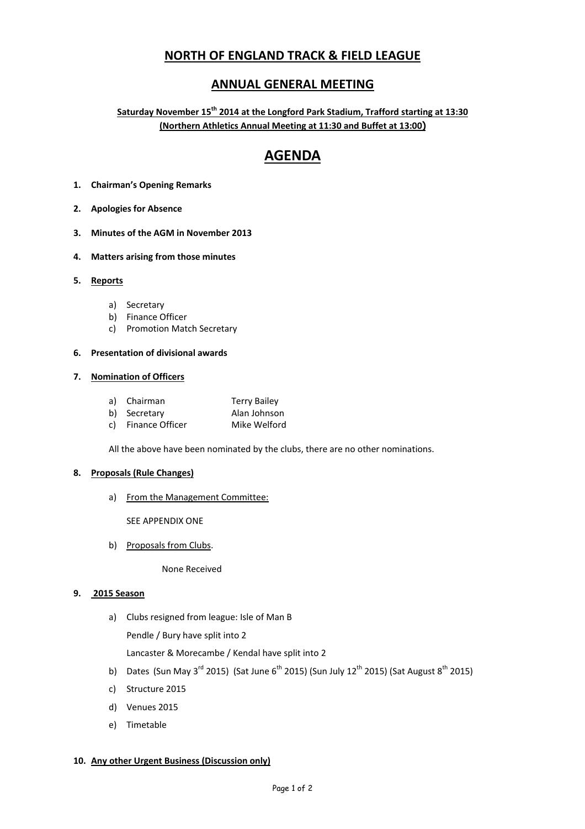# **NORTH OF ENGLAND TRACK & FIELD LEAGUE**

# **ANNUAL GENERAL MEETING**

**Saturday November 15th 2014 at the Longford Park Stadium, Trafford starting at 13:30 (Northern Athletics Annual Meeting at 11:30 and Buffet at 13:00)** 

# **AGENDA**

- **1. Chairman's Opening Remarks**
- **2. Apologies for Absence**
- **3. Minutes of the AGM in November 2013**
- **4. Matters arising from those minutes**

# **5. Reports**

- a) Secretary
- b) Finance Officer
- c) Promotion Match Secretary

# **6. Presentation of divisional awards**

# **7. Nomination of Officers**

- a) Chairman Terry Bailey
- b) Secretary **Alan Johnson**
- c) Finance Officer Mike Welford

All the above have been nominated by the clubs, there are no other nominations.

# **8. Proposals (Rule Changes)**

a) From the Management Committee:

SEE APPENDIX ONE

b) Proposals from Clubs.

None Received

# **9. 2015 Season**

a) Clubs resigned from league: Isle of Man B

Pendle / Bury have split into 2

Lancaster & Morecambe / Kendal have split into 2

- b) Dates (Sun May 3<sup>rd</sup> 2015) (Sat June 6<sup>th</sup> 2015) (Sun July 12<sup>th</sup> 2015) (Sat August 8<sup>th</sup> 2015)
- c) Structure 2015
- d) Venues 2015
- e) Timetable

# **10. Any other Urgent Business (Discussion only)**